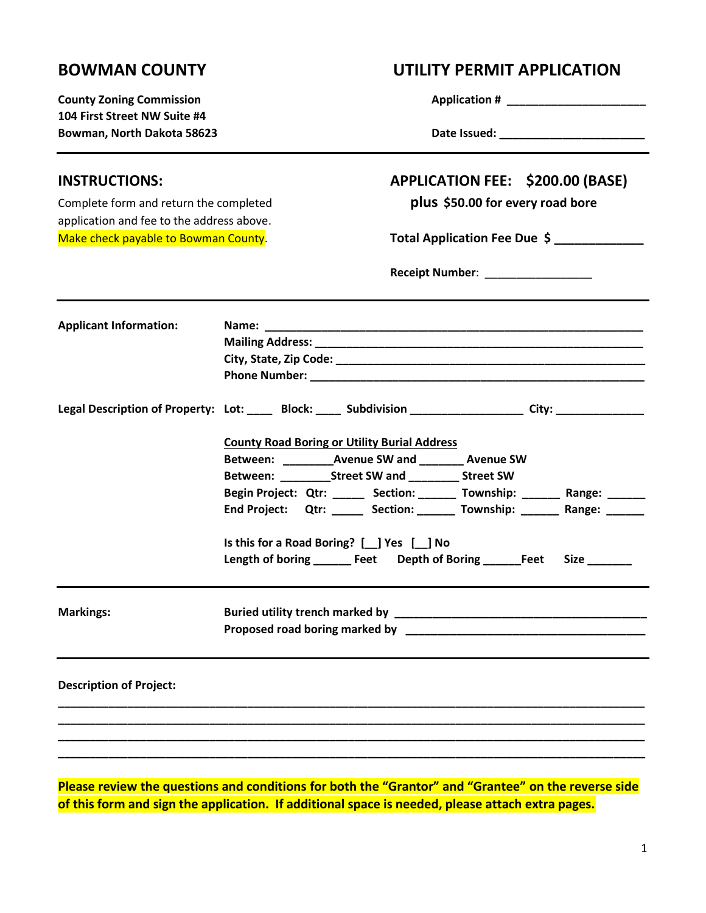## **BOWMAN COUNTY UTILITY PERMIT APPLICATION**

| <b>County Zoning Commission</b><br>104 First Street NW Suite #4                     |                                                                                                                                                                                                                                                                                                                                                                                                                                                                                                                                                                        |
|-------------------------------------------------------------------------------------|------------------------------------------------------------------------------------------------------------------------------------------------------------------------------------------------------------------------------------------------------------------------------------------------------------------------------------------------------------------------------------------------------------------------------------------------------------------------------------------------------------------------------------------------------------------------|
| Bowman, North Dakota 58623                                                          |                                                                                                                                                                                                                                                                                                                                                                                                                                                                                                                                                                        |
| <b>INSTRUCTIONS:</b>                                                                | APPLICATION FEE: \$200.00 (BASE)                                                                                                                                                                                                                                                                                                                                                                                                                                                                                                                                       |
| Complete form and return the completed<br>application and fee to the address above. | plus \$50.00 for every road bore                                                                                                                                                                                                                                                                                                                                                                                                                                                                                                                                       |
| Make check payable to Bowman County.                                                | Total Application Fee Due \$                                                                                                                                                                                                                                                                                                                                                                                                                                                                                                                                           |
|                                                                                     | Receipt Number: __________________                                                                                                                                                                                                                                                                                                                                                                                                                                                                                                                                     |
| <b>Applicant Information:</b>                                                       | Mailing Address: National Activities of the Contract of the Contract of the Contract of the Contract of the Contract of the Contract of the Contract of the Contract of the Contract of the Contract of the Contract of the Co                                                                                                                                                                                                                                                                                                                                         |
|                                                                                     | Legal Description of Property: Lot: _____ Block: ____ Subdivision _______________ City: ____________<br><b>County Road Boring or Utility Burial Address</b><br>Between: ____________ Avenue SW and _________ Avenue SW<br>Between: ____________Street SW and ____________ Street SW<br>Begin Project: Qtr: ______ Section: ______ Township: ______ Range: ______<br>End Project: Qtr: ______ Section: _______ Township: ______ Range: ______<br>Is this for a Road Boring? [ ] Yes [ ] No<br>Length of boring _______ Feet Depth of Boring _______ Feet<br><b>Size</b> |
| <b>Markings:</b>                                                                    | Proposed road boring marked by ________________________                                                                                                                                                                                                                                                                                                                                                                                                                                                                                                                |
| <b>Description of Project:</b>                                                      |                                                                                                                                                                                                                                                                                                                                                                                                                                                                                                                                                                        |
|                                                                                     |                                                                                                                                                                                                                                                                                                                                                                                                                                                                                                                                                                        |
|                                                                                     |                                                                                                                                                                                                                                                                                                                                                                                                                                                                                                                                                                        |

**Please review the questions and conditions for both the "Grantor" and "Grantee" on the reverse side of this form and sign the application. If additional space is needed, please attach extra pages.**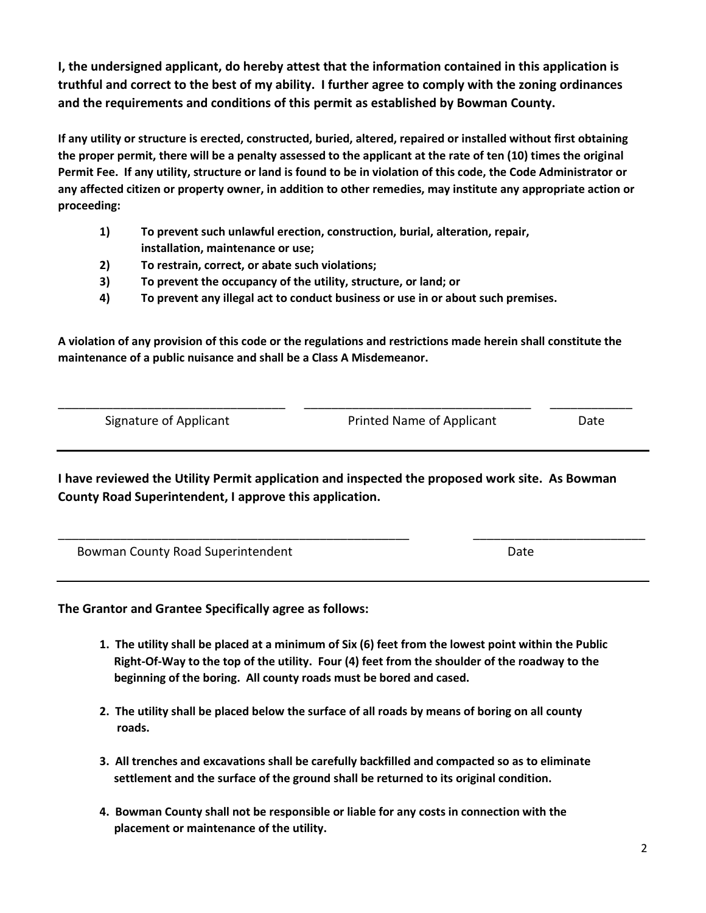**I, the undersigned applicant, do hereby attest that the information contained in this application is truthful and correct to the best of my ability. I further agree to comply with the zoning ordinances and the requirements and conditions of this permit as established by Bowman County.**

**If any utility or structure is erected, constructed, buried, altered, repaired or installed without first obtaining the proper permit, there will be a penalty assessed to the applicant at the rate of ten (10) times the original Permit Fee. If any utility, structure or land is found to be in violation of this code, the Code Administrator or any affected citizen or property owner, in addition to other remedies, may institute any appropriate action or proceeding:**

- **1) To prevent such unlawful erection, construction, burial, alteration, repair, installation, maintenance or use;**
- **2) To restrain, correct, or abate such violations;**
- **3) To prevent the occupancy of the utility, structure, or land; or**
- **4) To prevent any illegal act to conduct business or use in or about such premises.**

**A violation of any provision of this code or the regulations and restrictions made herein shall constitute the maintenance of a public nuisance and shall be a Class A Misdemeanor.**

| Signature of Applicant | Printed Name of Applicant | Date |
|------------------------|---------------------------|------|

**I have reviewed the Utility Permit application and inspected the proposed work site. As Bowman County Road Superintendent, I approve this application.**

\_\_\_\_\_\_\_\_\_\_\_\_\_\_\_\_\_\_\_\_\_\_\_\_\_\_\_\_\_\_\_\_\_\_\_\_\_\_\_\_\_\_\_\_\_\_\_\_\_\_\_ \_\_\_\_\_\_\_\_\_\_\_\_\_\_\_\_\_\_\_\_\_\_\_\_\_

Bowman County Road Superintendent Date Date County Road Superintendent

**The Grantor and Grantee Specifically agree as follows:**

- **1. The utility shall be placed at a minimum of Six (6) feet from the lowest point within the Public Right-Of-Way to the top of the utility. Four (4) feet from the shoulder of the roadway to the beginning of the boring. All county roads must be bored and cased.**
- **2. The utility shall be placed below the surface of all roads by means of boring on all county roads.**
- **3. All trenches and excavations shall be carefully backfilled and compacted so as to eliminate settlement and the surface of the ground shall be returned to its original condition.**
- **4. Bowman County shall not be responsible or liable for any costs in connection with the placement or maintenance of the utility.**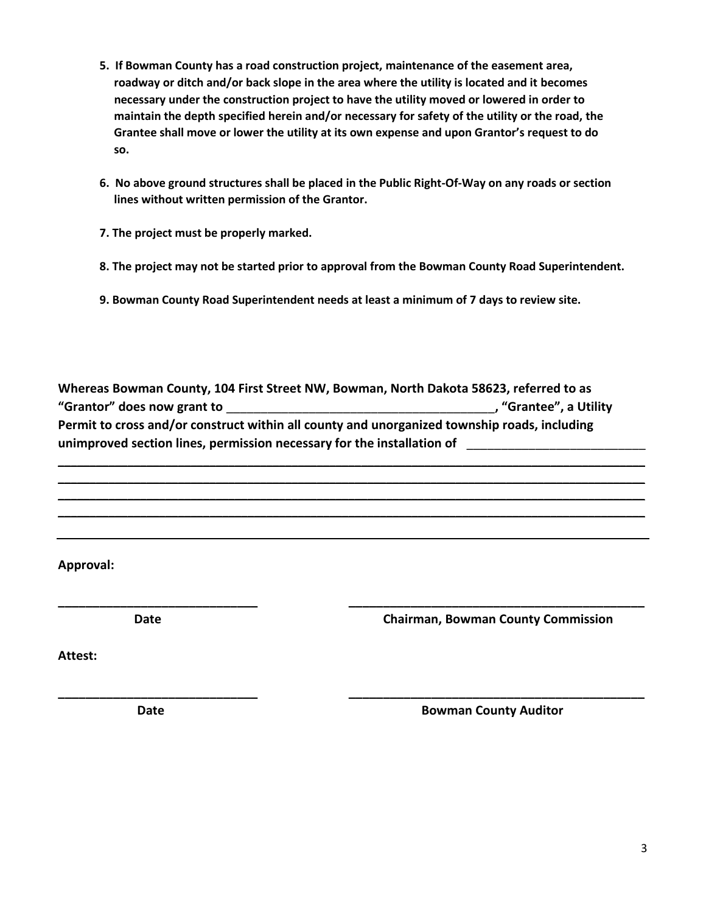- **5. If Bowman County has a road construction project, maintenance of the easement area, roadway or ditch and/or back slope in the area where the utility is located and it becomes necessary under the construction project to have the utility moved or lowered in order to maintain the depth specified herein and/or necessary for safety of the utility or the road, the Grantee shall move or lower the utility at its own expense and upon Grantor's request to do so.**
- **6. No above ground structures shall be placed in the Public Right-Of-Way on any roads or section lines without written permission of the Grantor.**
- **7. The project must be properly marked.**
- **8. The project may not be started prior to approval from the Bowman County Road Superintendent.**
- **9. Bowman County Road Superintendent needs at least a minimum of 7 days to review site.**

| Whereas Bowman County, 104 First Street NW, Bowman, North Dakota 58623, referred to as       |                        |
|----------------------------------------------------------------------------------------------|------------------------|
| "Grantor" does now grant to                                                                  | . "Grantee", a Utility |
| Permit to cross and/or construct within all county and unorganized township roads, including |                        |
| unimproved section lines, permission necessary for the installation of                       |                        |

**\_\_\_\_\_\_\_\_\_\_\_\_\_\_\_\_\_\_\_\_\_\_\_\_\_\_\_\_\_\_\_\_\_\_\_\_\_\_\_\_\_\_\_\_\_\_\_\_\_\_\_\_\_\_\_\_\_\_\_\_\_\_\_\_\_\_\_\_\_\_\_\_\_\_\_\_\_\_\_\_\_\_\_\_\_\_\_\_\_\_\_\_\_ \_\_\_\_\_\_\_\_\_\_\_\_\_\_\_\_\_\_\_\_\_\_\_\_\_\_\_\_\_\_\_\_\_\_\_\_\_\_\_\_\_\_\_\_\_\_\_\_\_\_\_\_\_\_\_\_\_\_\_\_\_\_\_\_\_\_\_\_\_\_\_\_\_\_\_\_\_\_\_\_\_\_\_\_\_\_\_\_\_\_\_\_\_ \_\_\_\_\_\_\_\_\_\_\_\_\_\_\_\_\_\_\_\_\_\_\_\_\_\_\_\_\_\_\_\_\_\_\_\_\_\_\_\_\_\_\_\_\_\_\_\_\_\_\_\_\_\_\_\_\_\_\_\_\_\_\_\_\_\_\_\_\_\_\_\_\_\_\_\_\_\_\_\_\_\_\_\_\_\_\_\_\_\_\_\_\_ \_\_\_\_\_\_\_\_\_\_\_\_\_\_\_\_\_\_\_\_\_\_\_\_\_\_\_\_\_\_\_\_\_\_\_\_\_\_\_\_\_\_\_\_\_\_\_\_\_\_\_\_\_\_\_\_\_\_\_\_\_\_\_\_\_\_\_\_\_\_\_\_\_\_\_\_\_\_\_\_\_\_\_\_\_\_\_\_\_\_\_\_\_**

**\_\_\_\_\_\_\_\_\_\_\_\_\_\_\_\_\_\_\_\_\_\_\_\_\_\_\_\_\_ \_\_\_\_\_\_\_\_\_\_\_\_\_\_\_\_\_\_\_\_\_\_\_\_\_\_\_\_\_\_\_\_\_\_\_\_\_\_\_\_\_\_\_**

**\_\_\_\_\_\_\_\_\_\_\_\_\_\_\_\_\_\_\_\_\_\_\_\_\_\_\_\_\_ \_\_\_\_\_\_\_\_\_\_\_\_\_\_\_\_\_\_\_\_\_\_\_\_\_\_\_\_\_\_\_\_\_\_\_\_\_\_\_\_\_\_\_**

**Approval:**

**Date** Chairman, Bowman County Commission

**Attest:**

**Date Date Bowman County Auditor**